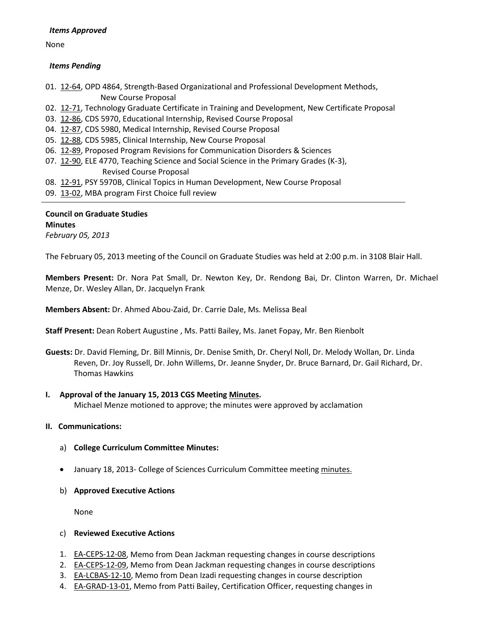# *Items Approved*

None

# *Items Pending*

01. [12-64,](http://castle.eiu.edu/~eiucgs/currentagendaitems/agenda12-64.pdf) OPD 4864, Strength-Based Organizational and Professional Development Methods, New Course Proposal

- 02.[12-71,](http://castle.eiu.edu/~eiucgs/currentagendaitems/agenda12-71.pdf) Technology Graduate Certificate in Training and Development, New Certificate Proposal
- 03. [12-86,](http://castle.eiu.edu/~eiucgs/currentagendaitems/agenda12-86.pdf) CDS 5970, Educational Internship, Revised Course Proposal
- 04. [12-87,](http://castle.eiu.edu/~eiucgs/currentagendaitems/agenda12-87.pdf) CDS 5980, Medical Internship, Revised Course Proposal
- 05. [12-88,](http://castle.eiu.edu/~eiucgs/currentagendaitems/agenda12-88.pdf) CDS 5985, Clinical Internship, New Course Proposal
- 06. [12-89,](http://castle.eiu.edu/~eiucgs/currentagendaitems/agenda12-89.pdf) Proposed Program Revisions for Communication Disorders & Sciences
- 07. [12-90,](http://castle.eiu.edu/~eiucgs/currentagendaitems/agenda12-90.pdf) ELE 4770, Teaching Science and Social Science in the Primary Grades (K-3), Revised Course Proposal
- 08. [12-91,](http://castle.eiu.edu/~eiucgs/currentagendaitems/agenda12-91.pdf) PSY 5970B, Clinical Topics in Human Development, New Course Proposal
- 09. [13-02,](http://castle.eiu.edu/~eiucgs/currentagendaitems/agenda13-02.pdf) MBA program First Choice full review

# **Council on Graduate Studies Minutes** *February 05, 2013*

The February 05, 2013 meeting of the Council on Graduate Studies was held at 2:00 p.m. in 3108 Blair Hall.

**Members Present:** Dr. Nora Pat Small, Dr. Newton Key, Dr. Rendong Bai, Dr. Clinton Warren, Dr. Michael Menze, Dr. Wesley Allan, Dr. Jacquelyn Frank

**Members Absent:** Dr. Ahmed Abou-Zaid, Dr. Carrie Dale, Ms. Melissa Beal

**Staff Present:** Dean Robert Augustine , Ms. Patti Bailey, Ms. Janet Fopay, Mr. Ben Rienbolt

**Guests:** Dr. David Fleming, Dr. Bill Minnis, Dr. Denise Smith, Dr. Cheryl Noll, Dr. Melody Wollan, Dr. Linda Reven, Dr. Joy Russell, Dr. John Willems, Dr. Jeanne Snyder, Dr. Bruce Barnard, Dr. Gail Richard, Dr. Thomas Hawkins

# **I. Approval of the January 15, 2013 CGS Meeting [Minutes.](http://castle.eiu.edu/eiucgs/currentminutes/Minutes01-15-13.pdf)**

Michael Menze motioned to approve; the minutes were approved by acclamation

# **II. Communications:**

- a) **College Curriculum Committee Minutes:**
- January 18, 2013- College of Sciences Curriculum Committee meeting [minutes.](http://castle.eiu.edu/~eiucgs/currentagendaitems/COSMin01-18-13.pdf)
- b) **Approved Executive Actions**

None

# c) **Reviewed Executive Actions**

- 1. [EA-CEPS-12-08,](http://castle.eiu.edu/~eiucgs/exec-actions/EA-CEPS-12-08.pdf) Memo from Dean Jackman requesting changes in course descriptions
- 2. [EA-CEPS-12-09,](http://castle.eiu.edu/~eiucgs/exec-actions/EA-CEPS-12-09.pdf) Memo from Dean Jackman requesting changes in course descriptions
- 3. [EA-LCBAS-12-10,](http://castle.eiu.edu/~eiucgs/exec-actions/EA-LCBAS-12-10.pdf) Memo from Dean Izadi requesting changes in course description
- 4. **EA-GRAD-13-01**, Memo from Patti Bailey, Certification Officer, requesting changes in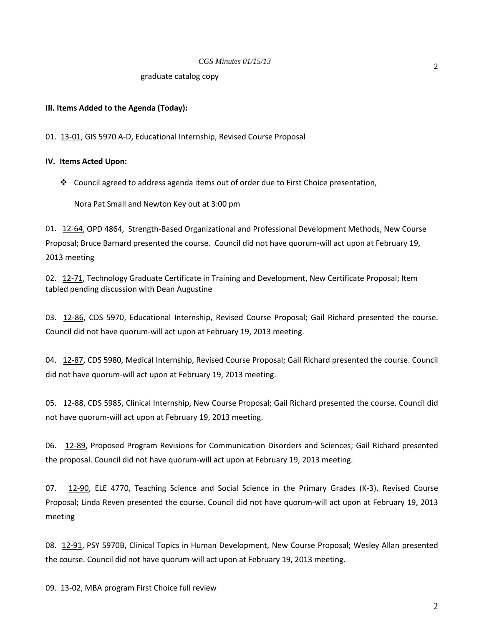### graduate catalog copy

# **III. Items Added to the Agenda (Today):**

01. [13-01,](http://castle.eiu.edu/~eiucgs/currentagendaitems/agenda13-01.pdf) GIS 5970 A-D, Educational Internship, Revised Course Proposal

### **IV. Items Acted Upon:**

Council agreed to address agenda items out of order due to First Choice presentation,

Nora Pat Small and Newton Key out at 3:00 pm

01. [12-64,](http://castle.eiu.edu/~eiucgs/currentagendaitems/agenda12-64.pdf) OPD 4864, Strength-Based Organizational and Professional Development Methods, New Course Proposal; Bruce Barnard presented the course. Council did not have quorum-will act upon at February 19, 2013 meeting

02. [12-71,](http://castle.eiu.edu/~eiucgs/currentagendaitems/agenda12-71.pdf) Technology Graduate Certificate in Training and Development, New Certificate Proposal; Item tabled pending discussion with Dean Augustine

03. [12-86,](http://castle.eiu.edu/~eiucgs/currentagendaitems/agenda12-86.pdf) CDS 5970, Educational Internship, Revised Course Proposal; Gail Richard presented the course. Council did not have quorum-will act upon at February 19, 2013 meeting.

04. [12-87,](http://castle.eiu.edu/~eiucgs/currentagendaitems/agenda12-87.pdf) CDS 5980, Medical Internship, Revised Course Proposal; Gail Richard presented the course. Council did not have quorum-will act upon at February 19, 2013 meeting.

05. [12-88,](http://castle.eiu.edu/~eiucgs/currentagendaitems/agenda12-88.pdf) CDS 5985, Clinical Internship, New Course Proposal; Gail Richard presented the course. Council did not have quorum-will act upon at February 19, 2013 meeting.

06. [12-89,](http://castle.eiu.edu/~eiucgs/currentagendaitems/agenda12-89.pdf) Proposed Program Revisions for Communication Disorders and Sciences; Gail Richard presented the proposal. Council did not have quorum-will act upon at February 19, 2013 meeting.

07. [12-90,](http://castle.eiu.edu/~eiucgs/currentagendaitems/agenda12-90.pdf) ELE 4770, Teaching Science and Social Science in the Primary Grades (K-3), Revised Course Proposal; Linda Reven presented the course. Council did not have quorum-will act upon at February 19, 2013 meeting

08. [12-91,](http://castle.eiu.edu/~eiucgs/currentagendaitems/agenda12-91.pdf) PSY 5970B, Clinical Topics in Human Development, New Course Proposal; Wesley Allan presented the course. Council did not have quorum-will act upon at February 19, 2013 meeting.